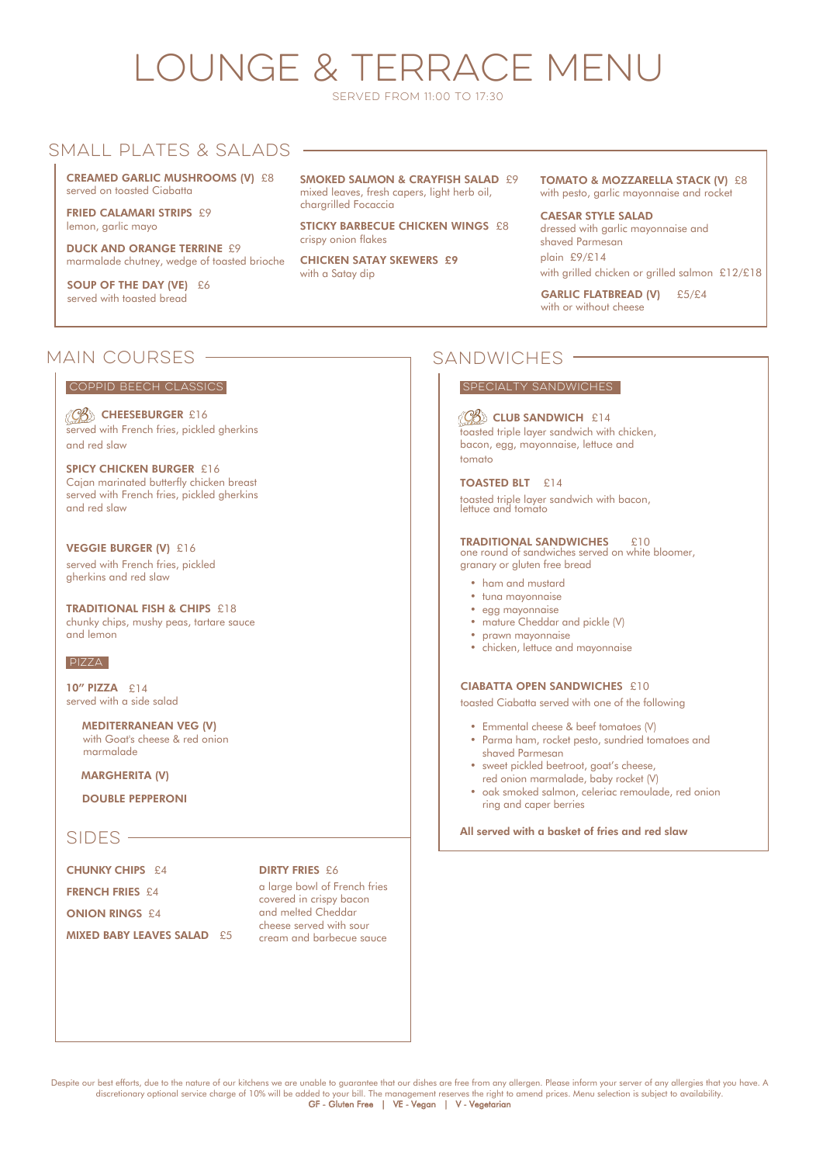### Small plates & salads

MEDITERRANEAN VEG (V) with Goat's cheese & red onion marmalade

### MARGHERITA (V)

DOUBLE PEPPERONI

### $SIDES -$

**CHUNKY CHIPS £4** 

a large bowl of French fries covered in crispy bacon and melted Cheddar cheese served with sour cream and barbecue sauce

CB CHEESEBURGER £16 served with French fries, pickled gherkins and red slaw

#### SPICY CHICKEN BURGER £16 Cajan marinated butterfly chicken breast served with French fries, pickled gherkins and red slaw

10" PIZZA £14 served with a side salad

#### pizza

# lounge & Terrace MENU

served from 11:00 to 17:30

Despite our best efforts, due to the nature of our kitchens we are unable to guarantee that our dishes are free from any allergen. Please inform your server of any allergies that you have. A discretionary optional service charge of 10% will be added to your bill. The management reserves the right to amend prices. Menu selection is subject to availability.

FRIED CALAMARI STRIPS £9 lemon, garlic mayo

#### VEGGIE BURGER (V) £16

**DUCK AND ORANGE TERRINE £9** marmalade chutney, wedge of toasted brioche

SOUP OF THE DAY (VE) £6 served with toasted bread

### MAIN COURSES <del>sandwiches</del> sandwiches

#### COPPID BEECH CLASSICS Specialty sandwiches

served with French fries, pickled gherkins and red slaw

TOMATO & MOZZARELLA STACK (V) £8 with pesto, garlic mayonnaise and rocket

### TRADITIONAL FISH & CHIPS £18

chunky chips, mushy peas, tartare sauce and lemon

CB CLUB SANDWICH £14 toasted triple layer sandwich with chicken, bacon, egg, mayonnaise, lettuce and tomato

toasted triple layer sandwich with bacon, lettuce and tomato

### TRADITIONAL SANDWICHES £10

GF - Gluten Free | VE - Vegan | V - Vegetarian

CREAMED GARLIC MUSHROOMS (V) £8 served on toasted Ciabatta

SMOKED SALMON & CRAYFISH SALAD £9 mixed leaves, fresh capers, light herb oil, chargrilled Focaccia

STICKY BARBECUE CHICKEN WINGS £8 crispy onion flakes

### CAESAR STYLE SALAD

dressed with garlic mayonnaise and shaved Parmesan plain £9/£14 with grilled chicken or grilled salmon £12/£18

GARLIC FLATBREAD (V) £5/£4 with or without cheese

#### TOASTED BLT £14

one round of sandwiches served on white bloomer, granary or gluten free bread

- ham and mustard
- tuna mayonnaise
- egg mayonnaise
- mature Cheddar and pickle (V)
- prawn mayonnaise
- chicken, lettuce and mayonnaise

All served with a basket of fries and red slaw

DIRTY FRIES £6

FRENCH FRIES £4

**ONION RINGS £4** 

**MIXED BABY LEAVES SALAD** £5

- Emmental cheese & beef tomatoes (V)
- Parma ham, rocket pesto, sundried tomatoes and shaved Parmesan
- sweet pickled beetroot, goat's cheese, red onion marmalade, baby rocket (V)
- oak smoked salmon, celeriac remoulade, red onion ring and caper berries

#### CIABATTA OPEN SANDWICHES £10

toasted Ciabatta served with one of the following

CHICKEN SATAY SKEWERS £9 with a Satay dip